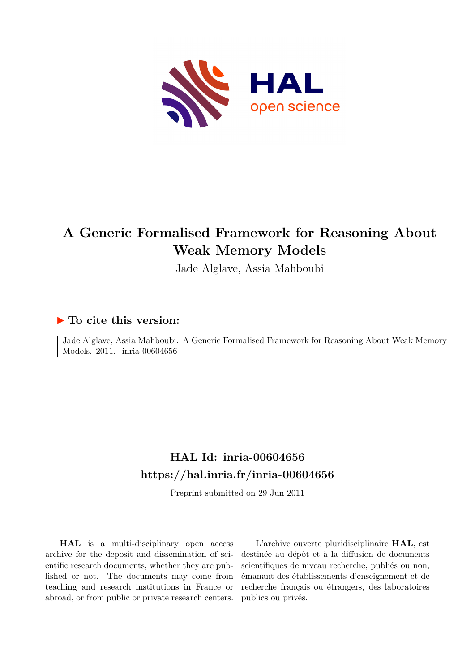

# **A Generic Formalised Framework for Reasoning About Weak Memory Models**

Jade Alglave, Assia Mahboubi

## **To cite this version:**

Jade Alglave, Assia Mahboubi. A Generic Formalised Framework for Reasoning About Weak Memory Models. 2011. inria-00604656

## **HAL Id: inria-00604656 <https://hal.inria.fr/inria-00604656>**

Preprint submitted on 29 Jun 2011

**HAL** is a multi-disciplinary open access archive for the deposit and dissemination of scientific research documents, whether they are published or not. The documents may come from teaching and research institutions in France or abroad, or from public or private research centers.

L'archive ouverte pluridisciplinaire **HAL**, est destinée au dépôt et à la diffusion de documents scientifiques de niveau recherche, publiés ou non, émanant des établissements d'enseignement et de recherche français ou étrangers, des laboratoires publics ou privés.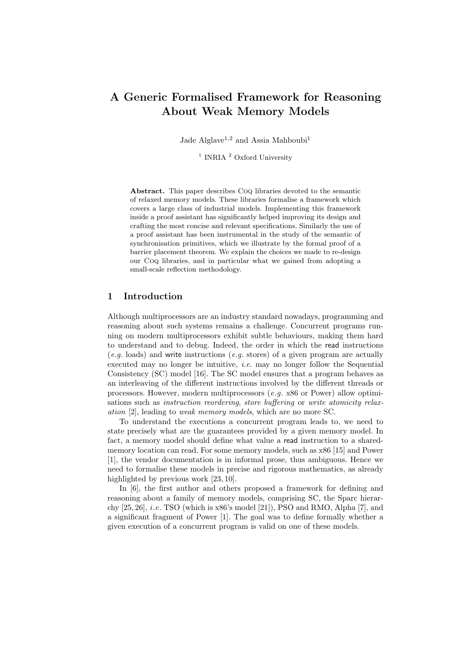## A Generic Formalised Framework for Reasoning About Weak Memory Models

Jade Alglave<sup>1,2</sup> and Assia Mahboubi<sup>1</sup>

<sup>1</sup> INRIA<sup>2</sup> Oxford University

Abstract. This paper describes Coq libraries devoted to the semantic of relaxed memory models. These libraries formalise a framework which covers a large class of industrial models. Implementing this framework inside a proof assistant has significantly helped improving its design and crafting the most concise and relevant specifications. Similarly the use of a proof assistant has been instrumental in the study of the semantic of synchronisation primitives, which we illustrate by the formal proof of a barrier placement theorem. We explain the choices we made to re-design our Coq libraries, and in particular what we gained from adopting a small-scale reflection methodology.

#### 1 Introduction

Although multiprocessors are an industry standard nowadays, programming and reasoning about such systems remains a challenge. Concurrent programs running on modern multiprocessors exhibit subtle behaviours, making them hard to understand and to debug. Indeed, the order in which the read instructions  $(e.g.$  loads) and write instructions  $(e.g.$  stores) of a given program are actually executed may no longer be intuitive, *i.e.* may no longer follow the Sequential Consistency (SC) model [16]. The SC model ensures that a program behaves as an interleaving of the different instructions involved by the different threads or processors. However, modern multiprocessors (e.g. x86 or Power) allow optimisations such as *instruction reordering*, *store buffering* or *write atomicity relax*ation [2], leading to weak memory models, which are no more SC.

To understand the executions a concurrent program leads to, we need to state precisely what are the guarantees provided by a given memory model. In fact, a memory model should define what value a read instruction to a sharedmemory location can read. For some memory models, such as x86 [15] and Power [1], the vendor documentation is in informal prose, thus ambiguous. Hence we need to formalise these models in precise and rigorous mathematics, as already highlighted by previous work [23, 10].

In [6], the first author and others proposed a framework for defining and reasoning about a family of memory models, comprising SC, the Sparc hierarchy  $[25, 26]$ , *i.e.* TSO (which is x86's model  $[21]$ ), PSO and RMO, Alpha  $[7]$ , and a significant fragment of Power [1]. The goal was to define formally whether a given execution of a concurrent program is valid on one of these models.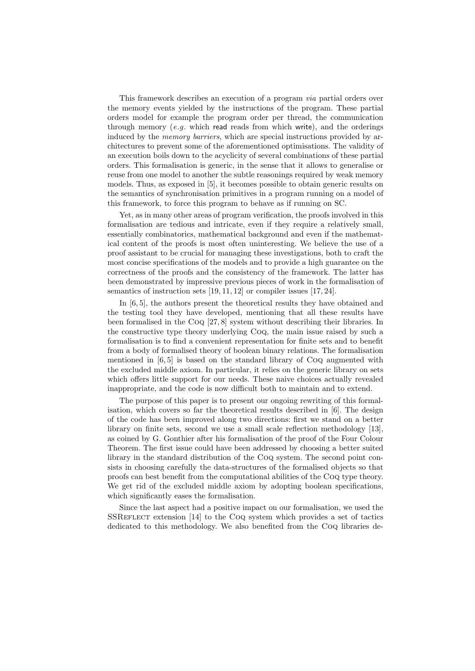This framework describes an execution of a program via partial orders over the memory events yielded by the instructions of the program. These partial orders model for example the program order per thread, the communication through memory  $(e,q, w)$  which read reads from which write), and the orderings induced by the memory barriers, which are special instructions provided by architectures to prevent some of the aforementioned optimisations. The validity of an execution boils down to the acyclicity of several combinations of these partial orders. This formalisation is generic, in the sense that it allows to generalise or reuse from one model to another the subtle reasonings required by weak memory models. Thus, as exposed in [5], it becomes possible to obtain generic results on the semantics of synchronisation primitives in a program running on a model of this framework, to force this program to behave as if running on SC.

Yet, as in many other areas of program verification, the proofs involved in this formalisation are tedious and intricate, even if they require a relatively small, essentially combinatorics, mathematical background and even if the mathematical content of the proofs is most often uninteresting. We believe the use of a proof assistant to be crucial for managing these investigations, both to craft the most concise specifications of the models and to provide a high guarantee on the correctness of the proofs and the consistency of the framework. The latter has been demonstrated by impressive previous pieces of work in the formalisation of semantics of instruction sets [19, 11, 12] or compiler issues [17, 24].

In [6, 5], the authors present the theoretical results they have obtained and the testing tool they have developed, mentioning that all these results have been formalised in the Coq [27, 8] system without describing their libraries. In the constructive type theory underlying Coq, the main issue raised by such a formalisation is to find a convenient representation for finite sets and to benefit from a body of formalised theory of boolean binary relations. The formalisation mentioned in [6, 5] is based on the standard library of Coq augmented with the excluded middle axiom. In particular, it relies on the generic library on sets which offers little support for our needs. These naive choices actually revealed inappropriate, and the code is now difficult both to maintain and to extend.

The purpose of this paper is to present our ongoing rewriting of this formalisation, which covers so far the theoretical results described in [6]. The design of the code has been improved along two directions: first we stand on a better library on finite sets, second we use a small scale reflection methodology [13], as coined by G. Gonthier after his formalisation of the proof of the Four Colour Theorem. The first issue could have been addressed by choosing a better suited library in the standard distribution of the Coq system. The second point consists in choosing carefully the data-structures of the formalised objects so that proofs can best benefit from the computational abilities of the Coq type theory. We get rid of the excluded middle axiom by adopting boolean specifications, which significantly eases the formalisation.

Since the last aspect had a positive impact on our formalisation, we used the SSREFLECT extension [14] to the CoQ system which provides a set of tactics dedicated to this methodology. We also benefited from the Coq libraries de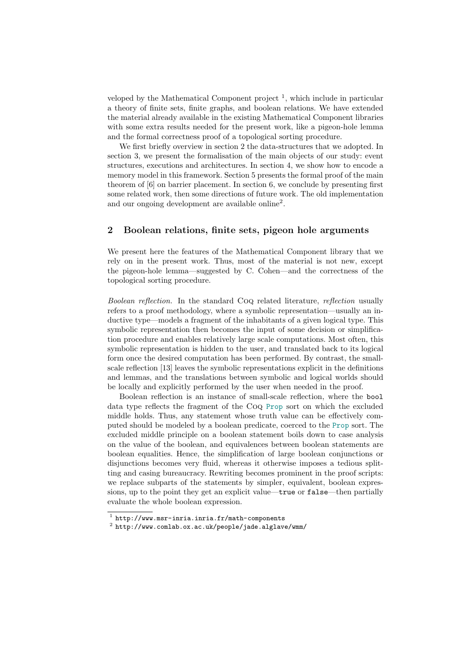veloped by the Mathematical Component project<sup>1</sup>, which include in particular a theory of finite sets, finite graphs, and boolean relations. We have extended the material already available in the existing Mathematical Component libraries with some extra results needed for the present work, like a pigeon-hole lemma and the formal correctness proof of a topological sorting procedure.

We first briefly overview in section 2 the data-structures that we adopted. In section 3, we present the formalisation of the main objects of our study: event structures, executions and architectures. In section 4, we show how to encode a memory model in this framework. Section 5 presents the formal proof of the main theorem of [6] on barrier placement. In section 6, we conclude by presenting first some related work, then some directions of future work. The old implementation and our ongoing development are available online<sup>2</sup> .

#### 2 Boolean relations, finite sets, pigeon hole arguments

We present here the features of the Mathematical Component library that we rely on in the present work. Thus, most of the material is not new, except the pigeon-hole lemma—suggested by C. Cohen—and the correctness of the topological sorting procedure.

Boolean reflection. In the standard Coq related literature, reflection usually refers to a proof methodology, where a symbolic representation—usually an inductive type—models a fragment of the inhabitants of a given logical type. This symbolic representation then becomes the input of some decision or simplification procedure and enables relatively large scale computations. Most often, this symbolic representation is hidden to the user, and translated back to its logical form once the desired computation has been performed. By contrast, the smallscale reflection [13] leaves the symbolic representations explicit in the definitions and lemmas, and the translations between symbolic and logical worlds should be locally and explicitly performed by the user when needed in the proof.

Boolean reflection is an instance of small-scale reflection, where the bool data type reflects the fragment of the Coq Prop sort on which the excluded middle holds. Thus, any statement whose truth value can be effectively computed should be modeled by a boolean predicate, coerced to the Prop sort. The excluded middle principle on a boolean statement boils down to case analysis on the value of the boolean, and equivalences between boolean statements are boolean equalities. Hence, the simplification of large boolean conjunctions or disjunctions becomes very fluid, whereas it otherwise imposes a tedious splitting and casing bureaucracy. Rewriting becomes prominent in the proof scripts: we replace subparts of the statements by simpler, equivalent, boolean expressions, up to the point they get an explicit value—true or false—then partially evaluate the whole boolean expression.

<sup>1</sup> http://www.msr-inria.inria.fr/math-components

<sup>2</sup> http://www.comlab.ox.ac.uk/people/jade.alglave/wmm/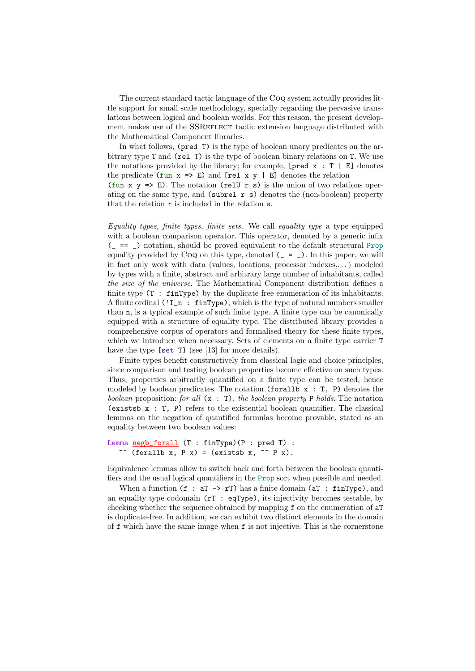The current standard tactic language of the Coq system actually provides little support for small scale methodology, specially regarding the pervasive translations between logical and boolean worlds. For this reason, the present development makes use of the SSREFLECT tactic extension language distributed with the Mathematical Component libraries.

In what follows, (pred T) is the type of boolean unary predicates on the arbitrary type T and (rel T) is the type of boolean binary relations on T. We use the notations provided by the library; for example,  $[pred x : T | E]$  denotes the predicate  $(fun x => E)$  and  $[rel x y | E]$  denotes the relation (fun x  $y \Rightarrow E$ ). The notation (relu r s) is the union of two relations operating on the same type, and  $(subrel r s)$  denotes the (non-boolean) property that the relation  $r$  is included in the relation  $s$ .

Equality types, finite types, finite sets. We call equality type a type equipped with a boolean comparison operator. This operator, denoted by a generic infix  $($  =  $=$   $)$  notation, should be proved equivalent to the default structural Prop equality provided by CoQ on this type, denoted  $(\_ = \_ )$ . In this paper, we will in fact only work with data (values, locations, processor indexes,. . . ) modeled by types with a finite, abstract and arbitrary large number of inhabitants, called the size of the universe. The Mathematical Component distribution defines a finite type  $(T : finType)$  by the duplicate free enumeration of its inhabitants. A finite ordinal ('I\_n : finType), which is the type of natural numbers smaller than n, is a typical example of such finite type. A finite type can be canonically equipped with a structure of equality type. The distributed library provides a comprehensive corpus of operators and formalised theory for these finite types, which we introduce when necessary. Sets of elements on a finite type carrier T have the type {set T} (see [13] for more details).

Finite types benefit constructively from classical logic and choice principles, since comparison and testing boolean properties become effective on such types. Thus, properties arbitrarily quantified on a finite type can be tested, hence modeled by boolean predicates. The notation (forallb  $x : T$ , P) denotes the boolean proposition: for all  $(x : T)$ , the boolean property P holds. The notation (existsb x : T, P) refers to the existential boolean quantifier. The classical lemmas on the negation of quantified formulas become provable, stated as an equality between two boolean values:

```
Lemma negb_forall (T : finType)(P : pred T) :
   \tilde{f} (forallb x, P x) = (existsb x, \tilde{f} P x).
```
Equivalence lemmas allow to switch back and forth between the boolean quantifiers and the usual logical quantifiers in the Prop sort when possible and needed.

When a function  $(f : aT \rightarrow rT)$  has a finite domain  $(aT : finType)$ , and an equality type codomain  $(rT : eqType)$ , its injectivity becomes testable, by checking whether the sequence obtained by mapping f on the enumeration of aT is duplicate-free. In addition, we can exhibit two distinct elements in the domain of f which have the same image when f is not injective. This is the cornerstone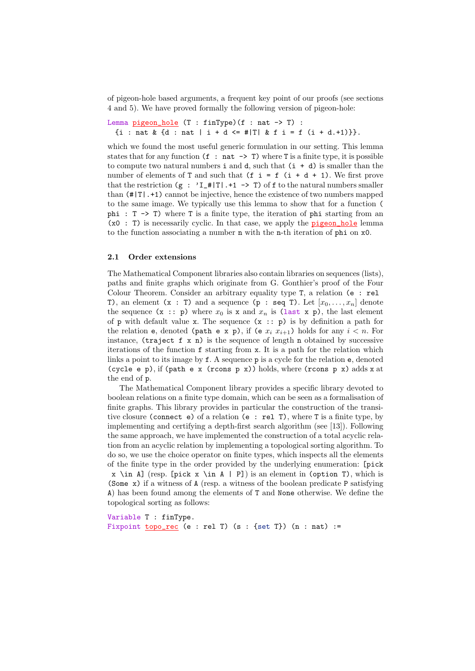of pigeon-hole based arguments, a frequent key point of our proofs (see sections 4 and 5). We have proved formally the following version of pigeon-hole:

```
Lemma pigeon_hole (T : finType)(f : nat \rightarrow T):
 {i : nat & {d : nat | i + d <= #|T| & f i = f (i + d.+1)}}.
```
which we found the most useful generic formulation in our setting. This lemma states that for any function  $(f : nat \rightarrow T)$  where T is a finite type, it is possible to compute two natural numbers  $i$  and  $d$ , such that  $(i + d)$  is smaller than the number of elements of T and such that  $(f \ i = f (i + d + 1))$ . We first prove that the restriction  $(g : 'I_+ \# |T|. +1 \rightarrow T)$  of f to the natural numbers smaller than (#|T|.+1) cannot be injective, hence the existence of two numbers mapped to the same image. We typically use this lemma to show that for a function ( phi : T -> T) where T is a finite type, the iteration of phi starting from an  $(x0 : T)$  is necessarily cyclic. In that case, we apply the **pigeon** hole lemma to the function associating a number n with the n-th iteration of phi on x0.

#### 2.1 Order extensions

The Mathematical Component libraries also contain libraries on sequences (lists), paths and finite graphs which originate from G. Gonthier's proof of the Four Colour Theorem. Consider an arbitrary equality type T, a relation (e : rel T), an element  $(x : T)$  and a sequence  $(p : seq T)$ . Let  $[x_0, \ldots, x_n]$  denote the sequence  $(x : p)$  where  $x_0$  is x and  $x_n$  is (last x p), the last element of p with default value x. The sequence  $(x : p)$  is by definition a path for the relation e, denoted (path e x p), if (e  $x_i$   $x_{i+1}$ ) holds for any  $i < n$ . For instance, (traject f x n) is the sequence of length n obtained by successive iterations of the function f starting from x. It is a path for the relation which links a point to its image by f. A sequence p is a cycle for the relation e, denoted (cycle e p), if (path e x (rcons p x)) holds, where (rcons p x) adds x at the end of p.

The Mathematical Component library provides a specific library devoted to boolean relations on a finite type domain, which can be seen as a formalisation of finite graphs. This library provides in particular the construction of the transitive closure (connect e) of a relation (e : rel T), where T is a finite type, by implementing and certifying a depth-first search algorithm (see [13]). Following the same approach, we have implemented the construction of a total acyclic relation from an acyclic relation by implementing a topological sorting algorithm. To do so, we use the choice operator on finite types, which inspects all the elements of the finite type in the order provided by the underlying enumeration: [pick  $x \in A$  (resp. [pick  $x \in A$  | P]) is an element in (option T), which is (Some x) if a witness of A (resp. a witness of the boolean predicate P satisfying A) has been found among the elements of T and None otherwise. We define the topological sorting as follows:

Variable T : finType. Fixpoint  $topo_rec$  (e : rel T) (s : {set T}) (n : nat) :=</u>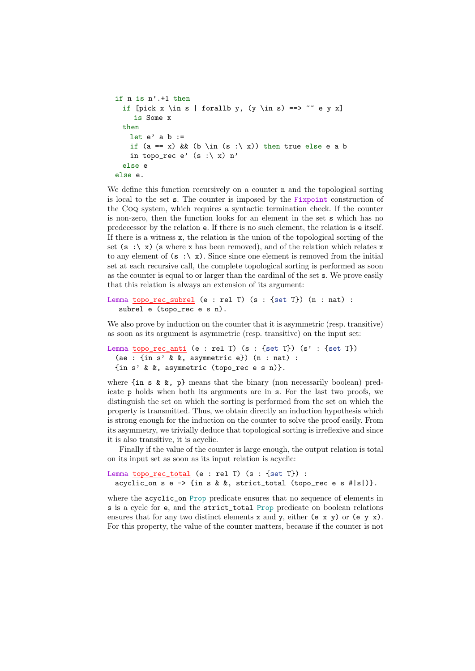```
if n is n'.+1 then
 if [pick x \in s | forallb y, (y \in s) ==> \tilde{ } = \tilde{ } e y x]
     is Some x
 then
   let e' a b :=if (a == x) & & (b \in (s :\ x)) then true else e a b
    in topo_rec e' (s : \ x) n'else e
else e.
```
We define this function recursively on a counter **n** and the topological sorting is local to the set s. The counter is imposed by the Fixpoint construction of the Coq system, which requires a syntactic termination check. If the counter is non-zero, then the function looks for an element in the set s which has no predecessor by the relation e. If there is no such element, the relation is e itself. If there is a witness x, the relation is the union of the topological sorting of the set  $(s : \ x)$  (s where x has been removed), and of the relation which relates x to any element of  $(s : \ X)$ . Since since one element is removed from the initial set at each recursive call, the complete topological sorting is performed as soon as the counter is equal to or larger than the cardinal of the set s. We prove easily that this relation is always an extension of its argument:

```
Lemma topo_rec_subrel (e : rel T) (s : {set T}) (n : nat) :
  subrel e (topo_rec e s n).
```
We also prove by induction on the counter that it is asymmetric (resp. transitive) as soon as its argument is asymmetric (resp. transitive) on the input set:

```
Lemma topo_rec_anti (e : rel T) (s : {set T}) (s' : {set T})
 (ae : \{in s' & &, asymmetric e}) (n : nat) :
 {in s' & &, asymmetric (topo_rec e s n)}.
```
where  ${\rm in s \& k, p}$  means that the binary (non necessarily boolean) predicate p holds when both its arguments are in s. For the last two proofs, we distinguish the set on which the sorting is performed from the set on which the property is transmitted. Thus, we obtain directly an induction hypothesis which is strong enough for the induction on the counter to solve the proof easily. From its asymmetry, we trivially deduce that topological sorting is irreflexive and since it is also transitive, it is acyclic.

Finally if the value of the counter is large enough, the output relation is total on its input set as soon as its input relation is acyclic:

```
Lemma topo_rec_total (e : rel T) (s : {set T}) :
 acyclic_on s e \rightarrow {in s & &, strict_total (topo_rec e s #|s|)}.
```
where the acyclic<sub>s</sub> on Prop predicate ensures that no sequence of elements in s is a cycle for e, and the strict\_total Prop predicate on boolean relations ensures that for any two distinct elements  $x$  and  $y$ , either  $(e \times y)$  or  $(e \times y)$ . For this property, the value of the counter matters, because if the counter is not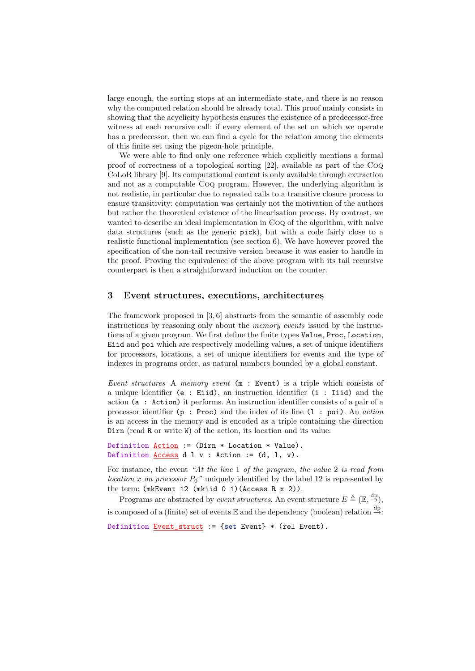large enough, the sorting stops at an intermediate state, and there is no reason why the computed relation should be already total. This proof mainly consists in showing that the acyclicity hypothesis ensures the existence of a predecessor-free witness at each recursive call: if every element of the set on which we operate has a predecessor, then we can find a cycle for the relation among the elements of this finite set using the pigeon-hole principle.

We were able to find only one reference which explicitly mentions a formal proof of correctness of a topological sorting [22], available as part of the Coq CoLoR library [9]. Its computational content is only available through extraction and not as a computable Coq program. However, the underlying algorithm is not realistic, in particular due to repeated calls to a transitive closure process to ensure transitivity: computation was certainly not the motivation of the authors but rather the theoretical existence of the linearisation process. By contrast, we wanted to describe an ideal implementation in Coq of the algorithm, with naive data structures (such as the generic pick), but with a code fairly close to a realistic functional implementation (see section 6). We have however proved the specification of the non-tail recursive version because it was easier to handle in the proof. Proving the equivalence of the above program with its tail recursive counterpart is then a straightforward induction on the counter.

#### 3 Event structures, executions, architectures

The framework proposed in [3, 6] abstracts from the semantic of assembly code instructions by reasoning only about the *memory events* issued by the instructions of a given program. We first define the finite types Value, Proc, Location, Eiid and poi which are respectively modelling values, a set of unique identifiers for processors, locations, a set of unique identifiers for events and the type of indexes in programs order, as natural numbers bounded by a global constant.

Event structures A memory event (m : Event) is a triple which consists of a unique identifier (e : Eiid), an instruction identifier (i : Iiid) and the action (a : Action) it performs. An instruction identifier consists of a pair of a processor identifier  $(p : Proc)$  and the index of its line  $(1 : poi)$ . An action is an access in the memory and is encoded as a triple containing the direction Dirn (read R or write W) of the action, its location and its value:

```
Definition Action := (Dirn * Location * Value).
Definition <u>Access</u> d l v : Action := (d, l, v).</u>
```
For instance, the event "At the line 1 of the program, the value 2 is read from location x on processor  $P_0$ " uniquely identified by the label 12 is represented by the term: (mkEvent 12 (mkiid 0 1)(Access R x 2)).

Programs are abstracted by *event structures*. An event structure  $E \triangleq (\mathbb{E}, \stackrel{\text{dp}}{\rightarrow})$ , is composed of a (finite) set of events  $\mathbb E$  and the dependency (boolean) relation  $\stackrel{\text{dp}}{\rightarrow}$ :

Definition Event\_struct := {set Event} \* (rel Event).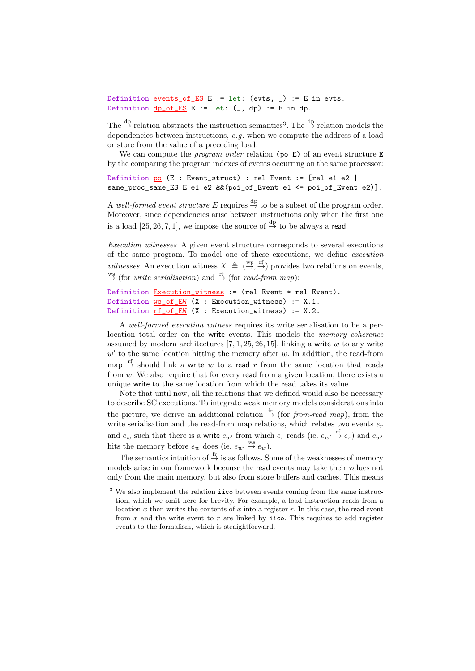Definition events\_of\_ES E := let: (evts, \_) := E in evts. Definition  $dp\_of\_ES$  E := let:  $($ , dp) := E in dp.

The  $\stackrel{\text{dp}}{\rightarrow}$  relation abstracts the instruction semantics<sup>3</sup>. The  $\stackrel{\text{dp}}{\rightarrow}$  relation models the dependencies between instructions, e.g. when we compute the address of a load or store from the value of a preceding load.

We can compute the *program order* relation (po  $E$ ) of an event structure  $E$ by the comparing the program indexes of events occurring on the same processor:

Definition po (E : Event\_struct) : rel Event := [rel e1 e2 | same\_proc\_same\_ES E e1 e2 &&(poi\_of\_Event e1 <= poi\_of\_Event e2)].

A well-formed event structure E requires  $\stackrel{\text{dp}}{\rightarrow}$  to be a subset of the program order. Moreover, since dependencies arise between instructions only when the first one is a load [25, 26, 7, 1], we impose the source of  $\stackrel{\text{dp}}{\rightarrow}$  to be always a read.

Execution witnesses A given event structure corresponds to several executions of the same program. To model one of these executions, we define execution witnesses. An execution witness  $X \triangleq (\overset{\text{ws}}{\rightarrow}, \overset{\text{rf}}{\rightarrow})$  provides two relations on events,  $\stackrel{\text{ws}}{\rightarrow}$  (for *write serialisation*) and  $\stackrel{\text{rf}}{\rightarrow}$  (for *read-from map*):

```
Definition Execution_witness := (rel Event * rel Event).
Definition ws_of_EW (X : Execution_witness) := X.1.
Definition rf_of_EW (X : Execution_witness) := X.2.
```
A well-formed execution witness requires its write serialisation to be a perlocation total order on the write events. This models the memory coherence assumed by modern architectures  $[7, 1, 25, 26, 15]$ , linking a write w to any write  $w'$  to the same location hitting the memory after  $w$ . In addition, the read-from map  $\stackrel{\text{rf}}{\rightarrow}$  should link a write w to a read r from the same location that reads from  $w$ . We also require that for every read from a given location, there exists a unique write to the same location from which the read takes its value.

Note that until now, all the relations that we defined would also be necessary to describe SC executions. To integrate weak memory models considerations into the picture, we derive an additional relation  $\stackrel{\text{fr}}{\rightarrow}$  (for *from-read map*), from the write serialisation and the read-from map relations, which relates two events  $e_r$ and  $e_w$  such that there is a write  $e_{w'}$  from which  $e_r$  reads (ie.  $e_{w'} \stackrel{\text{ff}}{\rightarrow} e_r$ ) and  $e_{w'}$ hits the memory before  $e_w$  does (ie.  $e_{w'} \stackrel{\text{ws}}{\rightarrow} e_w$ ).

The semantics intuition of  $\stackrel{\text{fr}}{\rightarrow}$  is as follows. Some of the weaknesses of memory models arise in our framework because the read events may take their values not only from the main memory, but also from store buffers and caches. This means

<sup>&</sup>lt;sup>3</sup> We also implement the relation iico between events coming from the same instruction, which we omit here for brevity. For example, a load instruction reads from a location x then writes the contents of x into a register r. In this case, the read event from  $x$  and the write event to  $r$  are linked by iico. This requires to add register events to the formalism, which is straightforward.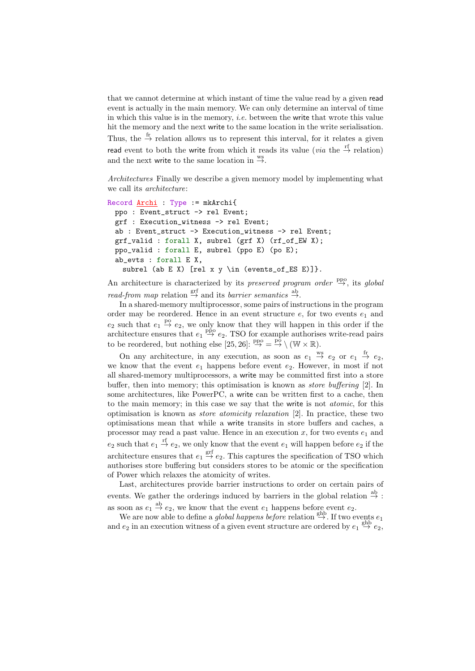that we cannot determine at which instant of time the value read by a given read event is actually in the main memory. We can only determine an interval of time in which this value is in the memory, *i.e.* between the write that wrote this value hit the memory and the next write to the same location in the write serialisation. Thus, the  $\stackrel{\text{fr}}{\rightarrow}$  relation allows us to represent this interval, for it relates a given read event to both the write from which it reads its value (*via* the  $\stackrel{\text{rf}}{\rightarrow}$  relation) and the next write to the same location in  $\stackrel{ws}{\rightarrow}$ .

Architectures Finally we describe a given memory model by implementing what we call its architecture:

```
Record Archi : Type := mkArchi{
 ppo : Event_struct -> rel Event;
 grf : Execution_witness -> rel Event;
 ab : Event_struct -> Execution_witness -> rel Event;
 grf_valid : forall X, subrel (grf X) (rf_of_EW X);
 ppo_valid : forall E, subrel (ppo E) (po E);
 ab_evts : forall E X,
   subrel (ab E X) [rel x y \in (events_of_ES E)]}.
```
An architecture is characterized by its preserved program order  $\frac{ppo}{\rightarrow}$ , its global read-from map relation  $\stackrel{\text{grf}}{\rightarrow}$  and its barrier semantics  $\stackrel{\text{ab}}{\rightarrow}$ .

In a shared-memory multiprocessor, some pairs of instructions in the program order may be reordered. Hence in an event structure  $e$ , for two events  $e_1$  and  $e_2$  such that  $e_1 \stackrel{\text{po}}{\rightarrow} e_2$ , we only know that they will happen in this order if the architecture ensures that  $e_1 \stackrel{\text{ppo}}{\rightarrow} e_2$ . TSO for example authorises write-read pairs to be reordered, but nothing else [25, 26]:  $\frac{ppo}{\rightarrow} = \frac{p\delta}{\rightarrow} \setminus (W \times \mathbb{R})$ .

On any architecture, in any execution, as soon as  $e_1 \stackrel{ws}{\rightarrow} e_2$  or  $e_1 \stackrel{fr}{\rightarrow} e_2$ , we know that the event  $e_1$  happens before event  $e_2$ . However, in most if not all shared-memory multiprocessors, a write may be committed first into a store buffer, then into memory; this optimisation is known as store buffering [2]. In some architectures, like PowerPC, a write can be written first to a cache, then to the main memory; in this case we say that the write is not atomic, for this optimisation is known as store atomicity relaxation [2]. In practice, these two optimisations mean that while a write transits in store buffers and caches, a processor may read a past value. Hence in an execution x, for two events  $e_1$  and  $e_2$  such that  $e_1 \stackrel{\text{rf}}{\rightarrow} e_2$ , we only know that the event  $e_1$  will happen before  $e_2$  if the architecture ensures that  $e_1 \stackrel{\text{grf}}{\rightarrow} e_2$ . This captures the specification of TSO which authorises store buffering but considers stores to be atomic or the specification of Power which relaxes the atomicity of writes.

Last, architectures provide barrier instructions to order on certain pairs of events. We gather the orderings induced by barriers in the global relation  $\stackrel{ab}{\rightarrow}$ : as soon as  $e_1 \stackrel{\text{ab}}{\rightarrow} e_2$ , we know that the event  $e_1$  happens before event  $e_2$ .

We are now able to define a global happens before relation  $\stackrel{\text{ghb}}{\rightarrow}$ . If two events  $e_1$ and  $e_2$  in an execution witness of a given event structure are ordered by  $e_1 \stackrel{\text{ghb}}{\rightarrow} e_2$ ,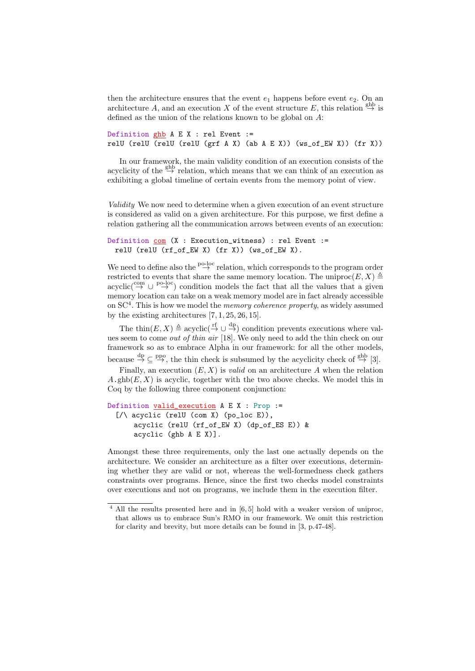then the architecture ensures that the event  $e_1$  happens before event  $e_2$ . On an architecture A, and an execution X of the event structure E, this relation  $\stackrel{\text{gnb}}{\rightarrow}$  is defined as the union of the relations known to be global on A:

```
Definition ghb A \to X : rel Event :=
relU (relU (relU (relU (grf A X) (ab A E X)) (ws_of_EW X)) (fr X))
```
In our framework, the main validity condition of an execution consists of the acyclicity of the  $\stackrel{\text{ghb}}{\rightarrow}$  relation, which means that we can think of an execution as exhibiting a global timeline of certain events from the memory point of view.

Validity We now need to determine when a given execution of an event structure is considered as valid on a given architecture. For this purpose, we first define a relation gathering all the communication arrows between events of an execution:

```
Definition com (X : Execution_witness) : rel Event :=
 relU (relU (rf_of_EW X) (fr X)) (ws_of_EW X).
```
We need to define also the  $\stackrel{\text{p0-loc}}{\rightarrow}$  relation, which corresponds to the program order restricted to events that share the same memory location. The uniproc $(E, X) \triangleq$  $\text{acyclic}(\overset{\text{com}}{\rightarrow} \cup \overset{\text{po-loc}}{\rightarrow})$  condition models the fact that all the values that a given memory location can take on a weak memory model are in fact already accessible on SC<sup>4</sup>. This is how we model the *memory coherence property*, as widely assumed by the existing architectures  $[7, 1, 25, 26, 15]$ .

The thin $(E, X) \triangleq \text{acyclic}(\stackrel{\text{rf}}{\rightarrow} \cup \stackrel{\text{dp}}{\rightarrow})$  condition prevents executions where values seem to come out of thin air [18]. We only need to add the thin check on our framework so as to embrace Alpha in our framework: for all the other models, because  $\stackrel{dp}{\rightarrow} \subseteq \stackrel{ppo}{\rightarrow}$ , the thin check is subsumed by the acyclicity check of  $\stackrel{ghb}{\rightarrow} [3]$ .

Finally, an execution  $(E, X)$  is *valid* on an architecture A when the relation  $A.\text{ghb}(E, X)$  is acyclic, together with the two above checks. We model this in Coq by the following three component conjunction:

```
Definition valid_execution A E X : Prop :=
  [}/\rangle acyclic (relU (com X) (po_loc E)),
      acyclic (relU (rf_of_EW X) (dp_of_ES E)) &
      acyclic (ghb A E X)].
```
Amongst these three requirements, only the last one actually depends on the architecture. We consider an architecture as a filter over executions, determining whether they are valid or not, whereas the well-formedness check gathers constraints over programs. Hence, since the first two checks model constraints over executions and not on programs, we include them in the execution filter.

<sup>4</sup> All the results presented here and in [6, 5] hold with a weaker version of uniproc, that allows us to embrace Sun's RMO in our framework. We omit this restriction for clarity and brevity, but more details can be found in [3, p.47-48].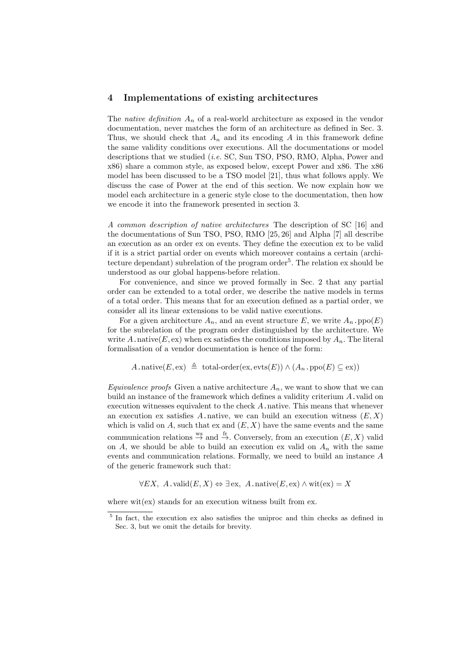#### 4 Implementations of existing architectures

The native definition  $A_n$  of a real-world architecture as exposed in the vendor documentation, never matches the form of an architecture as defined in Sec. 3. Thus, we should check that  $A_n$  and its encoding A in this framework define the same validity conditions over executions. All the documentations or model descriptions that we studied *(i.e.* SC, Sun TSO, PSO, RMO, Alpha, Power and x86) share a common style, as exposed below, except Power and x86. The x86 model has been discussed to be a TSO model [21], thus what follows apply. We discuss the case of Power at the end of this section. We now explain how we model each architecture in a generic style close to the documentation, then how we encode it into the framework presented in section 3.

A common description of native architectures The description of SC [16] and the documentations of Sun TSO, PSO, RMO [25, 26] and Alpha [7] all describe an execution as an order ex on events. They define the execution ex to be valid if it is a strict partial order on events which moreover contains a certain (architecture dependant) subrelation of the program order<sup>5</sup>. The relation ex should be understood as our global happens-before relation.

For convenience, and since we proved formally in Sec. 2 that any partial order can be extended to a total order, we describe the native models in terms of a total order. This means that for an execution defined as a partial order, we consider all its linear extensions to be valid native executions.

For a given architecture  $A_n$ , and an event structure E, we write  $A_n$ .ppo(E) for the subrelation of the program order distinguished by the architecture. We write A. native(E, ex) when ex satisfies the conditions imposed by  $A_n$ . The literal formalisation of a vendor documentation is hence of the form:

$$
A.\text{native}(E,\text{ex}) \triangleq \text{total-order}(\text{ex},\text{evts}(E)) \wedge (A_n.\text{ppo}(E) \subseteq \text{ex}))
$$

*Equivalence proofs* Given a native architecture  $A_n$ , we want to show that we can build an instance of the framework which defines a validity criterium  $A$ . valid on execution witnesses equivalent to the check  $A$ , native. This means that whenever an execution ex satisfies A.native, we can build an execution witness  $(E, X)$ which is valid on  $A$ , such that ex and  $(E, X)$  have the same events and the same communication relations  $\stackrel{ws}{\rightarrow}$  and  $\stackrel{fr}{\rightarrow}$ . Conversely, from an execution  $(E, X)$  valid on A, we should be able to build an execution ex valid on  $A_n$  with the same events and communication relations. Formally, we need to build an instance A of the generic framework such that:

 $\forall EX, A.\text{valid}(E, X) \Leftrightarrow \exists \text{ex}, A.\text{native}(E, \text{ex}) \wedge \text{wit}(\text{ex}) = X$ 

where  $\text{wit}(\text{ex})$  stands for an execution witness built from ex.

<sup>&</sup>lt;sup>5</sup> In fact, the execution ex also satisfies the uniproc and thin checks as defined in Sec. 3, but we omit the details for brevity.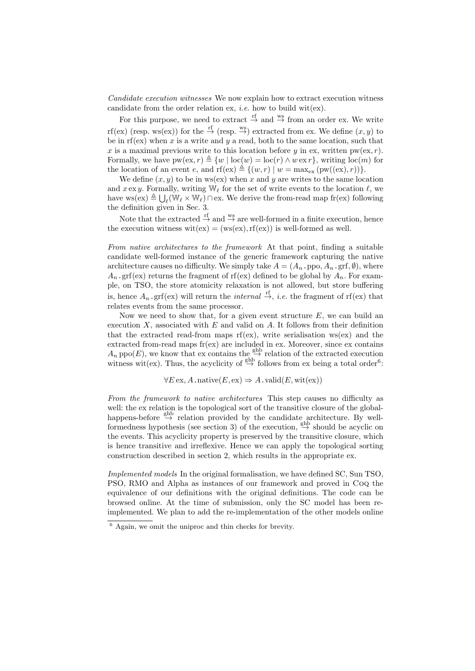Candidate execution witnesses We now explain how to extract execution witness candidate from the order relation ex, *i.e.* how to build wit(ex).

For this purpose, we need to extract  $\stackrel{\text{rf}}{\rightarrow}$  and  $\stackrel{\text{ws}}{\rightarrow}$  from an order ex. We write rf(ex) (resp. ws(ex)) for the  $\stackrel{\text{rf}}{\rightarrow}$  (resp.  $\stackrel{\text{ws}}{\rightarrow}$ ) extracted from ex. We define  $(x, y)$  to be in rf(ex) when x is a write and y a read, both to the same location, such that x is a maximal previous write to this location before y in ex, written  $pw(ex, r)$ . Formally, we have  $pw(ex, r) \triangleq \{w \mid loc(w) = loc(r) \wedge w \, \text{ex} \, r\}$ , writing  $loc(m)$  for the location of an event e, and  $\text{rf}(\text{ex}) \triangleq \{(w, r) | w = \max_{\text{ex}} (\text{pw}((\text{ex}), r))\}.$ 

We define  $(x, y)$  to be in ws(ex) when x and y are writes to the same location and  $x \, \text{ex} \, y$ . Formally, writing W<sub>l</sub> for the set of write events to the location  $\ell$ , we have  $ws(ex) \triangleq \bigcup_{\ell} (\mathbb{W}_{\ell} \times \mathbb{W}_{\ell}) \cap \text{ex}$ . We derive the from-read map fr(ex) following the definition given in Sec. 3.

Note that the extracted  $\stackrel{\text{rf}}{\rightarrow}$  and  $\stackrel{\text{ws}}{\rightarrow}$  are well-formed in a finite execution, hence the execution witness  $\text{wit}(\text{ex}) = (\text{ws}(\text{ex}), \text{rf}(\text{ex}))$  is well-formed as well.

From native architectures to the framework At that point, finding a suitable candidate well-formed instance of the generic framework capturing the native architecture causes no difficulty. We simply take  $A = (A_n, \text{ppo}, A_n, \text{grf}, \emptyset)$ , where  $A_n$  grf(ex) returns the fragment of rf(ex) defined to be global by  $A_n$ . For example, on TSO, the store atomicity relaxation is not allowed, but store buffering is, hence  $A_n$  grf(ex) will return the *internal*  $\stackrel{\text{rf}}{\rightarrow}$ , *i.e.* the fragment of rf(ex) that relates events from the same processor.

Now we need to show that, for a given event structure  $E$ , we can build an execution  $X$ , associated with  $E$  and valid on  $A$ . It follows from their definition that the extracted read-from maps  $\text{rf}(\text{ex})$ , write serialisation ws(ex) and the extracted from-read maps fr(ex) are included in ex. Moreover, since ex contains  $A_n$  ppo(E), we know that ex contains the  $\stackrel{\text{ghb}}{\rightarrow}$  relation of the extracted execution witness wit(ex). Thus, the acyclicity of  $\xrightarrow{\text{ghb}}$  follows from ex being a total order<sup>6</sup>:

 $\forall E \operatorname{ex}_{\mathcal{A}} A \cdot \operatorname{native}(E, \operatorname{ex}_{\mathcal{A}}) \Rightarrow A \cdot \operatorname{valid}(E, \operatorname{wit}(\operatorname{ex}_{\mathcal{A}}))$ 

From the framework to native architectures This step causes no difficulty as well: the ex relation is the topological sort of the transitive closure of the globalhappens-before  $\stackrel{\text{ghb}}{\rightarrow}$  relation provided by the candidate architecture. By wellformedness hypothesis (see section 3) of the execution,  $\stackrel{\text{ghb}}{\rightarrow}$  should be acyclic on the events. This acyclicity property is preserved by the transitive closure, which is hence transitive and irreflexive. Hence we can apply the topological sorting construction described in section 2, which results in the appropriate ex.

Implemented models In the original formalisation, we have defined SC, Sun TSO, PSO, RMO and Alpha as instances of our framework and proved in Coq the equivalence of our definitions with the original definitions. The code can be browsed online. At the time of submission, only the SC model has been reimplemented. We plan to add the re-implementation of the other models online

<sup>6</sup> Again, we omit the uniproc and thin checks for brevity.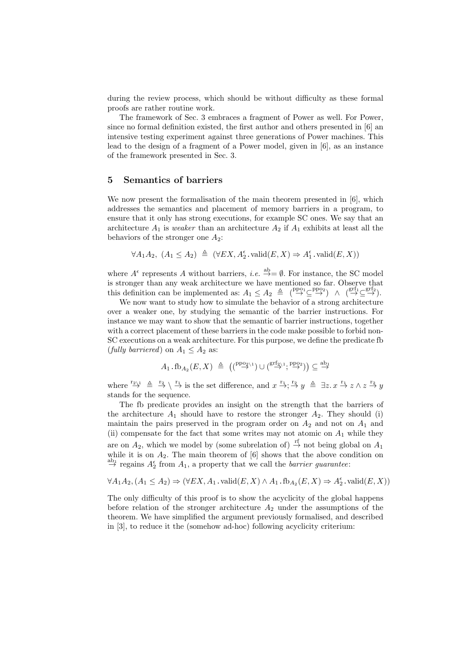during the review process, which should be without difficulty as these formal proofs are rather routine work.

The framework of Sec. 3 embraces a fragment of Power as well. For Power, since no formal definition existed, the first author and others presented in [6] an intensive testing experiment against three generations of Power machines. This lead to the design of a fragment of a Power model, given in [6], as an instance of the framework presented in Sec. 3.

#### 5 Semantics of barriers

We now present the formalisation of the main theorem presented in [6], which addresses the semantics and placement of memory barriers in a program, to ensure that it only has strong executions, for example SC ones. We say that an architecture  $A_1$  is weaker than an architecture  $A_2$  if  $A_1$  exhibits at least all the behaviors of the stronger one  $A_2$ :

$$
\forall A_1 A_2, (A_1 \le A_2) \triangleq (\forall EX, A_2^{\epsilon}.\,\mathrm{valid}(E, X) \Rightarrow A_1^{\epsilon}.\,\mathrm{valid}(E, X))
$$

where  $A^{\epsilon}$  represents A without barriers, *i.e.*  $\xrightarrow{\text{ab}} = \emptyset$ . For instance, the SC model is stronger than any weak architecture we have mentioned so far. Observe that this definition can be implemented as:  $A_1 \leq A_2 \triangleq (\overset{\text{ppo}_1}{\rightarrow} \subseteq \overset{\text{ppo}_2}{\rightarrow}) \land (\overset{\text{grf}_1}{\rightarrow} \subseteq \overset{\text{grf}_2}{\rightarrow}).$ 

We now want to study how to simulate the behavior of a strong architecture over a weaker one, by studying the semantic of the barrier instructions. For instance we may want to show that the semantic of barrier instructions, together with a correct placement of these barriers in the code make possible to forbid non-SC executions on a weak architecture. For this purpose, we define the predicate fb (fully barriered) on  $A_1 \leq A_2$  as:

$$
A_1.\text{fb}_{A_2}(E, X) \triangleq ((\overset{\text{ppo}_{2\backslash 1}}{\rightarrow}) \cup (\overset{\text{grf}_{2\backslash 1}}{\rightarrow}; \overset{\text{ppo}_{2}}{\rightarrow})) \subseteq \overset{\text{ab}_{1}}{\rightarrow}
$$

where  $\stackrel{r_2}{\rightarrow} \stackrel{r_1}{\rightarrow} \stackrel{r_1}{\rightarrow}$  is the set difference, and  $x \stackrel{r_1}{\rightarrow} \stackrel{r_2}{\rightarrow} y \stackrel{\triangle}{=} \exists z \, x \stackrel{r_1}{\rightarrow} z \wedge z \stackrel{r_2}{\rightarrow} y$ stands for the sequence.

The fb predicate provides an insight on the strength that the barriers of the architecture  $A_1$  should have to restore the stronger  $A_2$ . They should (i) maintain the pairs preserved in the program order on  $A_2$  and not on  $A_1$  and (ii) compensate for the fact that some writes may not atomic on  $A_1$  while they are on  $A_2$ , which we model by (some subrelation of)  $\stackrel{\text{rf}}{\rightarrow}$  not being global on  $A_1$ while it is on  $A_2$ . The main theorem of  $[6]$  shows that the above condition on  $\stackrel{\text{ab}_1}{\rightarrow}$  regains  $A_2^{\epsilon}$  from  $A_1$ , a property that we call the *barrier guarantee*:

$$
\forall A_1 A_2, (A_1 \leq A_2) \Rightarrow (\forall EX, A_1 \cdot \text{valid}(E, X) \land A_1 \cdot \text{fb}_{A_2}(E, X) \Rightarrow A_2^{\epsilon} \cdot \text{valid}(E, X))
$$

The only difficulty of this proof is to show the acyclicity of the global happens before relation of the stronger architecture  $A_2$  under the assumptions of the theorem. We have simplified the argument previously formalised, and described in [3], to reduce it the (somehow ad-hoc) following acyclicity criterium: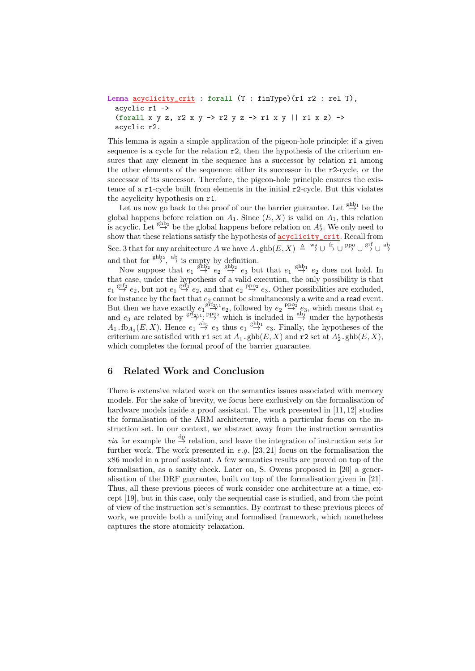```
Lemma acyclicity_crit : forall (T : finType)(r1 r2 : rel T),
 acyclic r1 ->
  (forall x y z, r2 x y -> r2 y z -> r1 x y || r1 x z) ->
  acyclic r2.
```
This lemma is again a simple application of the pigeon-hole principle: if a given sequence is a cycle for the relation  $r2$ , then the hypothesis of the criterium ensures that any element in the sequence has a successor by relation  $r1$  among the other elements of the sequence: either its successor in the r2-cycle, or the successor of its successor. Therefore, the pigeon-hole principle ensures the existence of a r1-cycle built from elements in the initial r2-cycle. But this violates the acyclicity hypothesis on r1.

Let us now go back to the proof of our the barrier guarantee. Let  $\stackrel{\text{ghb}_1}{\rightarrow}$  be the global happens before relation on  $A_1$ . Since  $(E, X)$  is valid on  $A_1$ , this relation is acyclic. Let  $\overset{\text{ghb}_2}{\rightarrow}$  be the global happens before relation on  $A_2^{\epsilon}$ . We only need to show that these relations satisfy the hypothesis of **acyclicity\_crit**. Recall from Sec. 3 that for any architecture A we have  $A \cdot \text{ghb}(E, X) \triangleq \overset{\text{ws}}{\rightarrow} \cup \overset{\text{fr}}{\rightarrow} \cup \overset{\text{ppo}}{\rightarrow} \cup \overset{\text{grf}}{\rightarrow} \cup \overset{\text{ab}}{\rightarrow}$ and that for  $\stackrel{\text{ghb}_2}{\rightarrow}$ ,  $\stackrel{\text{ab}}{\rightarrow}$  is empty by definition.

Now suppose that  $e_1 \stackrel{\text{ghb}_2}{\rightarrow} e_2 \stackrel{\text{ghb}_2}{\rightarrow} e_3$  but that  $e_1 \stackrel{\text{ghb}_1}{\rightarrow} e_2$  does not hold. In that case, under the hypothesis of a valid execution, the only possibility is that  $e_1 \stackrel{\text{grf}_2}{\rightarrow} e_2$ , but not  $e_1 \stackrel{\text{grf}_1}{\rightarrow} e_2$ , and that  $e_2 \stackrel{\text{ppo}_2}{\rightarrow} e_3$ . Other possibilities are excluded, for instance by the fact that  $e_2$  cannot be simultaneously a write and a read event. But then we have exactly  $e_1 \stackrel{\text{grf}_2}{\rightarrow} e_2$ , followed by  $e_2 \stackrel{\text{ppo2}}{\rightarrow} e_3$ , which means that  $e_1$ and  $e_3$  are related by  $\stackrel{\text{grf}_{2\setminus 1}}{\rightarrow}$ ;  $\stackrel{\text{ppo}_2}{\rightarrow}$  which is included in  $\stackrel{\text{ab}_1}{\rightarrow}$  under the hypothesis  $A_1$ .fb $A_2(E, X)$ . Hence  $e_1 \stackrel{\text{ab}_1}{\rightarrow} e_3$  thus  $e_1 \stackrel{\text{ghb}_1}{\rightarrow} e_3$ . Finally, the hypotheses of the criterium are satisfied with  $r1$  set at  $A_1$ ,  $ghb(E, X)$  and  $r2$  set at  $A_2^{\epsilon}$ ,  $ghb(E, X)$ , which completes the formal proof of the barrier guarantee.

#### 6 Related Work and Conclusion

There is extensive related work on the semantics issues associated with memory models. For the sake of brevity, we focus here exclusively on the formalisation of hardware models inside a proof assistant. The work presented in [11, 12] studies the formalisation of the ARM architecture, with a particular focus on the instruction set. In our context, we abstract away from the instruction semantics *via* for example the  $\stackrel{\text{dp}}{\rightarrow}$  relation, and leave the integration of instruction sets for further work. The work presented in e.g. [23, 21] focus on the formalisation the x86 model in a proof assistant. A few semantics results are proved on top of the formalisation, as a sanity check. Later on, S. Owens proposed in [20] a generalisation of the DRF guarantee, built on top of the formalisation given in [21]. Thus, all these previous pieces of work consider one architecture at a time, except [19], but in this case, only the sequential case is studied, and from the point of view of the instruction set's semantics. By contrast to these previous pieces of work, we provide both a unifying and formalised framework, which nonetheless captures the store atomicity relaxation.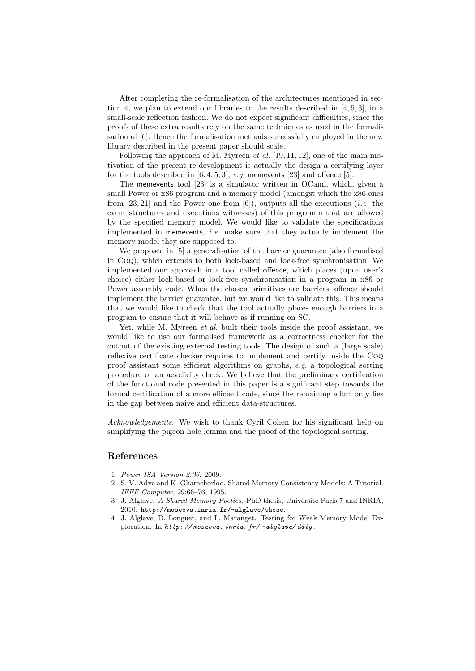After completing the re-formalisation of the architectures mentioned in section 4, we plan to extend our libraries to the results described in  $[4, 5, 3]$ , in a small-scale reflection fashion. We do not expect significant difficulties, since the proofs of these extra results rely on the same techniques as used in the formalisation of [6]. Hence the formalisation methods successfully employed in the new library described in the present paper should scale.

Following the approach of M. Myreen  $et$  al. [19, 11, 12], one of the main motivation of the present re-development is actually the design a certifying layer for the tools described in  $[6, 4, 5, 3]$ , e.g. memevents [23] and offence [5].

The memevents tool [23] is a simulator written in OCaml, which, given a small Power or x86 program and a memory model (amongst which the x86 ones from  $[23, 21]$  and the Power one from  $[6]$ ), outputs all the executions *(i.e.* the event structures and executions witnesses) of this programm that are allowed by the specified memory model. We would like to validate the specifications implemented in memevents, *i.e.* make sure that they actually implement the memory model they are supposed to.

We proposed in [5] a generalisation of the barrier guarantee (also formalised in Coq), which extends to both lock-based and lock-free synchronisation. We implemented our approach in a tool called offence, which places (upon user's choice) either lock-based or lock-free synchronisation in a program in x86 or Power assembly code. When the chosen primitives are barriers, offence should implement the barrier guarantee, but we would like to validate this. This means that we would like to check that the tool actually places enough barriers in a program to ensure that it will behave as if running on SC.

Yet, while M. Myreen *et al.* built their tools inside the proof assistant, we would like to use our formalised framework as a correctness checker for the output of the existing external testing tools. The design of such a (large scale) reflexive certificate checker requires to implement and certify inside the Coq proof assistant some efficient algorithms on graphs, e.g. a topological sorting procedure or an acyclicity check. We believe that the preliminary certification of the functional code presented in this paper is a significant step towards the formal certification of a more efficient code, since the remaining effort only lies in the gap between naive and efficient data-structures.

Acknowledgements. We wish to thank Cyril Cohen for his significant help on simplifying the pigeon hole lemma and the proof of the topological sorting.

#### References

- 1. Power ISA Version 2.06. 2009.
- 2. S. V. Adve and K. Gharachorloo. Shared Memory Consistency Models: A Tutorial. IEEE Computer, 29:66–76, 1995.
- 3. J. Alglave. A Shared Memory Poetics. PhD thesis, Université Paris 7 and INRIA, 2010. http://moscova.inria.fr/~alglave/these.
- 4. J. Alglave, D. Longuet, and L. Maranget. Testing for Weak Memory Model Exploration. In *http: // moscova. inria. fr/ ~ alglave/ ddiy* .